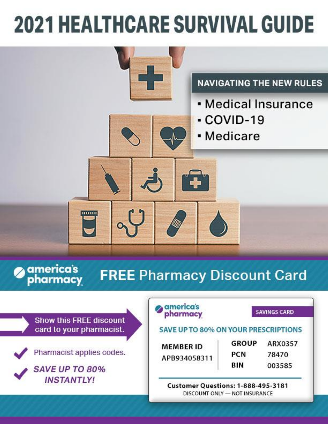# **2021 HEALTHCARE SURVIVAL GUIDE**



## america's<br>pharmacy

## **FREE Pharmacy Discount Card**



**SAVE UP TO 80% INSTANTLY!** 

## america's<br>pharmacy

**SAVINGS CARD** 

#### **SAVE UP TO 80% ON YOUR PRESCRIPTIONS**

**MEMBER ID** APB934058311 **GROUP** PCN BIN

ARX0357 78470 003585

Customer Questions: 1-888-495-3181 DISCOUNT ONLY - NOT INSURANCE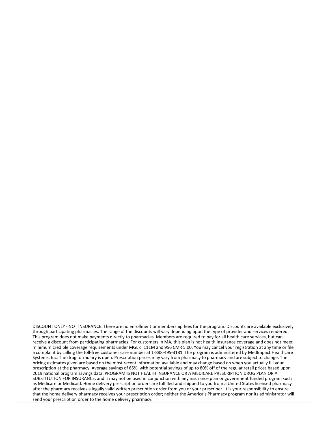DISCOUNT ONLY - NOT INSURANCE. There are no enrollment or membership fees for the program. Discounts are available exclusively through participating pharmacies. The range of the discounts will vary depending upon the type of provider and services rendered. This program does not make payments directly to pharmacies. Members are required to pay for all health care services, but can receive a discount from participating pharmacies. For customers in MA, this plan is not health insurance coverage and does not meet minimum credible coverage requirements under MGL c. 111M and 956 CMR 5.00. You may cancel your registration at any time or file a complaint by calling the toll-free customer care number at 1-888-495-3181. The program is administered by MedImpact Healthcare Systems, Inc. The drug formulary is open. Prescription prices may vary from pharmacy to pharmacy and are subject to change. The pricing estimates given are based on the most recent information available and may change based on when you actually fill your prescription at the pharmacy. Average savings of 65%, with potential savings of up to 80% off of the regular retail prices based upon 2019 national program savings data. PROGRAM IS NOT HEALTH INSURANCE OR A MEDICARE PRESCRIPTION DRUG PLAN OR A SUBSTITUTION FOR INSURANCE, and it may not be used in conjunction with any insurance plan or government funded program such as Medicare or Medicaid. Home delivery prescription orders are fulfilled and shipped to you from a United States licensed pharmacy after the pharmacy receives a legally valid written prescription order from you or your prescriber. It is your responsibility to ensure that the home delivery pharmacy receives your prescription order; neither the America's Pharmacy program nor its administrator will send your prescription order to the home delivery pharmacy.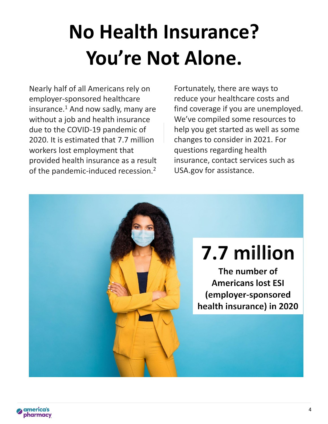## **No Health Insurance? You're Not Alone.**

Nearly half of all Americans rely on employer-sponsored healthcare insurance. $<sup>1</sup>$  And now sadly, many are</sup> without a job and health insurance due to the COVID-19 pandemic of 2020. It is estimated that 7.7 million workers lost employment that provided health insurance as a result of the pandemic-induced recession.<sup>2</sup> Fortunately, there are ways to reduce your healthcare costs and find coverage if you are unemployed. We've compiled some resources to help you get started as well as some changes to consider in 2021. For questions regarding health insurance, contact services such as USA.gov for assistance.

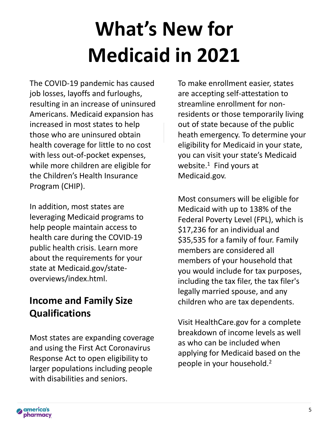## **What's New for Medicaid in 2021**

The COVID-19 pandemic has caused job losses, layoffs and furloughs, resulting in an increase of uninsured Americans. Medicaid expansion has increased in most states to help those who are uninsured obtain health coverage for little to no cost with less out-of-pocket expenses, while more children are eligible for the Children's Health Insurance Program (CHIP).

In addition, most states are leveraging Medicaid programs to help people maintain access to health care during the COVID-19 public health crisis. Learn more about the requirements for your state at Medicaid.gov/stateoverviews/index.html.

## **Income and Family Size Qualifications**

Most states are expanding coverage and using the First Act Coronavirus Response Act to open eligibility to larger populations including people with disabilities and seniors.

To make enrollment easier, states are accepting self-attestation to streamline enrollment for nonresidents or those temporarily living out of state because of the public heath emergency. To determine your eligibility for Medicaid in your state, you can visit your state's Medicaid website. $1$  Find yours at Medicaid.gov.

Most consumers will be eligible for Medicaid with up to 138% of the Federal Poverty Level (FPL), which is \$17,236 for an individual and \$35,535 for a family of four. Family members are considered all members of your household that you would include for tax purposes, including the tax filer, the tax filer's legally married spouse, and any children who are tax dependents.

Visit HealthCare.gov for a complete breakdown of income levels as well as who can be included when applying for Medicaid based on the people in your household.2

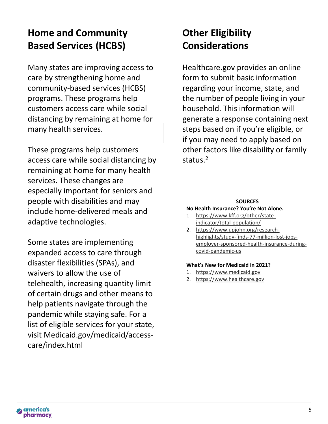## **Home and Community Based Services (HCBS)**

Many states are improving access to care by strengthening home and community-based services (HCBS) programs. These programs help customers access care while social distancing by remaining at home for many health services.

These programs help customers access care while social distancing by remaining at home for many health services. These changes are especially important for seniors and people with disabilities and may include home-delivered meals and adaptive technologies.

Some states are implementing expanded access to care through disaster flexibilities (SPAs), and waivers to allow the use of telehealth, increasing quantity limit of certain drugs and other means to help patients navigate through the pandemic while staying safe. For a list of eligible services for your state, visit Medicaid.gov/medicaid/accesscare/index.html

## **Other Eligibility Considerations**

Healthcare.gov provides an online form to submit basic information regarding your income, state, and the number of people living in your household. This information will generate a response containing next steps based on if you're eligible, or if you may need to apply based on other factors like disability or family status $2$ 

#### **SOURCES No Health Insurance? You're Not Alone.**

- 1. [https://www.kff.org/other/state](https://www.kff.org/other/state-indicator/total-population/)indicator/total-population/
- 2. https://www.upjohn.org/researchhighlights/study-finds-77-million-lost-jobs[employer-sponsored-health-insurance-during](https://www.upjohn.org/research-highlights/study-finds-77-million-lost-jobs-employer-sponsored-health-insurance-during-covid-pandemic-us)covid-pandemic-us

#### **What's New for Medicaid in 2021?**

- 1. [https://www.medicaid.gov](https://www.medicaid.gov/)
- 2. [https://www.healthcare.gov](https://www.healthcare.gov/)

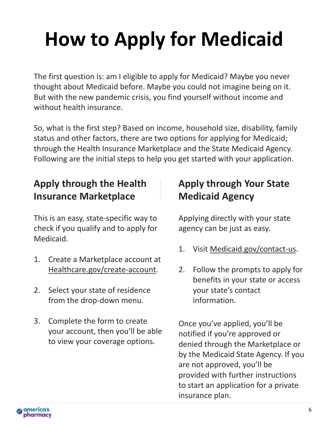# **How to Apply for Medicaid**

The first question is: am I eligible to apply for Medicaid? Maybe you never thought about Medicaid before. Maybe you could not imagine being on it. But with the new pandemic crisis, you find yourself without income and without health insurance.

So, what is the first step? Based on income, household size, disability, family status and other factors, there are two options for applying for Medicaid; through the Health Insurance Marketplace and the State Medicaid Agency. Following are the initial steps to help you get started with your application.

## **Apply through the Health Insurance Marketplace**

This is an easy, state-specific way to check if you qualify and to apply for Medicaid.

- 1. Create a Marketplace account at [Healthcare.gov/create-account](https://www.healthcare.gov/create-account).
- 2. Select your state of residence from the drop-down menu.
- 3. Complete the form to create your account, then you'll be able to view your coverage options.

## **Apply through Your State Medicaid Agency**

Applying directly with your state agency can be just as easy.

- 1. Visit [Medicaid.gov/contact-us.](https://www.medicaid.gov/about-us/contact-us/index.html)
- 2. Follow the prompts to apply for benefits in your state or access your state's contact information.

Once you've applied, you'll be notified if you're approved or denied through the Marketplace or by the Medicaid State Agency. If you are not approved, you'll be provided with further instructions to start an application for a private insurance plan.

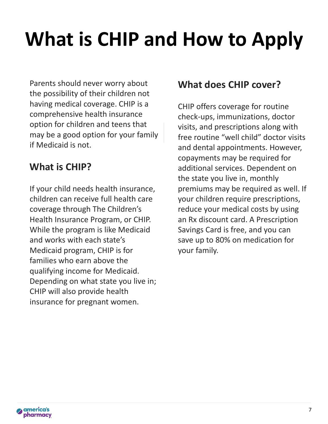## **What is CHIP and How to Apply**

Parents should never worry about the possibility of their children not having medical coverage. CHIP is a comprehensive health insurance option for children and teens that may be a good option for your family if Medicaid is not.

### **What is CHIP?**

If your child needs health insurance, children can receive full health care coverage through The Children's Health Insurance Program, or CHIP. While the program is like Medicaid and works with each state's Medicaid program, CHIP is for families who earn above the qualifying income for Medicaid. Depending on what state you live in; CHIP will also provide health insurance for pregnant women.

### **What does CHIP cover?**

CHIP offers coverage for routine check-ups, immunizations, doctor visits, and prescriptions along with free routine "well child" doctor visits and dental appointments. However, copayments may be required for additional services. Dependent on the state you live in, monthly premiums may be required as well. If your children require prescriptions, reduce your medical costs by using an Rx discount card. A Prescription Savings Card is free, and you can save up to 80% on medication for your family.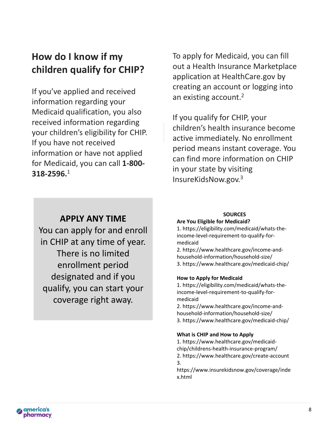## **How do I know if my children qualify for CHIP?**

If you've applied and received information regarding your Medicaid qualification, you also received information regarding your children's eligibility for CHIP. If you have not received information or have not applied for Medicaid, you can call **1-800- 318-2596.**<sup>1</sup>

#### **APPLY ANY TIME**

You can apply for and enroll in CHIP at any time of year. There is no limited enrollment period designated and if you qualify, you can start your coverage right away.

To apply for Medicaid, you can fill out a Health Insurance Marketplace application at HealthCare.gov by creating an account or logging into an existing account.<sup>2</sup>

If you qualify for CHIP, your children's health insurance become active immediately. No enrollment period means instant coverage. You can find more information on CHIP in your state by visiting InsureKidsNow.gov.<sup>3</sup>

#### **SOURCES**

#### **Are You Eligible for Medicaid?**

1. https://eligibility.com/medicaid/whats-theincome-level-requirement-to-qualify-formedicaid

2. https://www.healthcare.gov/income-andhousehold-information/household-size/ 3. https://www.healthcare.gov/medicaid-chip/

#### **How to Apply for Medicaid**

1. https://eligibility.com/medicaid/whats-theincome-level-requirement-to-qualify-formedicaid

2. https://www.healthcare.gov/income-andhousehold-information/household-size/ 3. https://www.healthcare.gov/medicaid-chip/

#### **What is CHIP and How to Apply**

1. https://www.healthcare.gov/medicaidchip/childrens-health-insurance-program/ 2. https://www.healthcare.gov/create-account

3.

https://www.insurekidsnow.gov/coverage/inde x.html

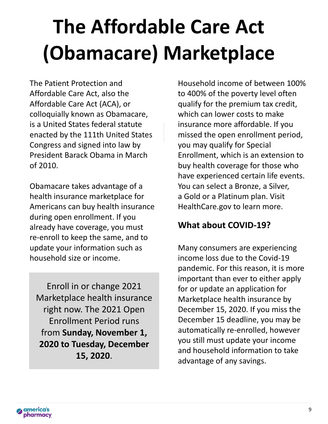## **The Affordable Care Act (Obamacare) Marketplace**

The Patient Protection and Affordable Care Act, also the Affordable Care Act (ACA), or colloquially known as Obamacare, is a United States federal statute enacted by the 111th United States Congress and signed into law by President Barack Obama in March of 2010.

Obamacare takes advantage of a health insurance marketplace for Americans can buy health insurance during open enrollment. If you already have coverage, you must re-enroll to keep the same, and to update your information such as household size or income.

Enroll in or change 2021 Marketplace health insurance right now. The 2021 Open Enrollment Period runs from **Sunday, November 1, 2020 to Tuesday, December 15, 2020**.

Household income of between 100% to 400% of the poverty level often qualify for the premium tax credit, which can lower costs to make insurance more affordable. If you missed the open enrollment period, you may qualify for Special Enrollment, which is an extension to buy health coverage for those who have experienced certain life events. You can select a Bronze, a Silver, a Gold or a Platinum plan. Visit HealthCare.gov to learn more.

### **What about COVID-19?**

Many consumers are experiencing income loss due to the Covid-19 pandemic. For this reason, it is more important than ever to either apply for or update an application for Marketplace health insurance by December 15, 2020. If you miss the December 15 deadline, you may be automatically re-enrolled, however you still must update your income and household information to take advantage of any savings.

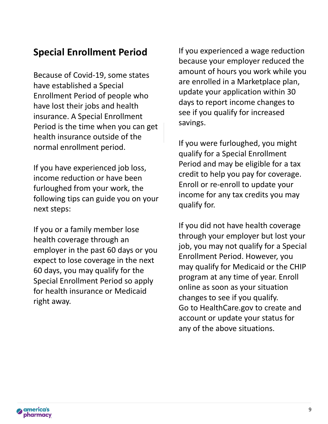### **Special Enrollment Period**

Because of Covid-19, some states have established a Special Enrollment Period of people who have lost their jobs and health insurance. A Special Enrollment Period is the time when you can get health insurance outside of the normal enrollment period.

If you have experienced job loss, income reduction or have been furloughed from your work, the following tips can guide you on your next steps:

If you or a family member lose health coverage through an employer in the past 60 days or you expect to lose coverage in the next 60 days, you may qualify for the Special Enrollment Period so apply for health insurance or Medicaid right away.

If you experienced a wage reduction because your employer reduced the amount of hours you work while you are enrolled in a Marketplace plan, update your application within 30 days to report income changes to see if you qualify for increased savings.

If you were furloughed, you might qualify for a Special Enrollment Period and may be eligible for a tax credit to help you pay for coverage. Enroll or re-enroll to update your income for any tax credits you may qualify for.

If you did not have health coverage through your employer but lost your job, you may not qualify for a Special Enrollment Period. However, you may qualify for Medicaid or the CHIP program at any time of year. Enroll online as soon as your situation changes to see if you qualify. Go to HealthCare.gov to create and account or update your status for any of the above situations.

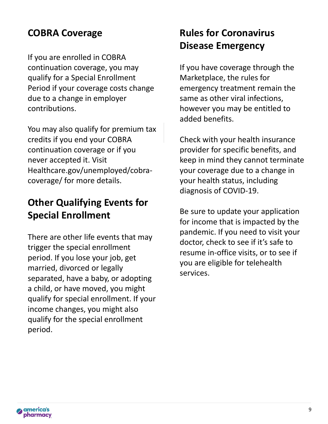## **COBRA Coverage**

If you are enrolled in COBRA continuation coverage, you may qualify for a Special Enrollment Period if your coverage costs change due to a change in employer contributions.

You may also qualify for premium tax credits if you end your COBRA continuation coverage or if you never accepted it. Visit Healthcare.gov/unemployed/cobracoverage/ for more details.

### **Other Qualifying Events for Special Enrollment**

There are other life events that may trigger the special enrollment period. If you lose your job, get married, divorced or legally separated, have a baby, or adopting a child, or have moved, you might qualify for special enrollment. If your income changes, you might also qualify for the special enrollment period.

## **Rules for Coronavirus Disease Emergency**

If you have coverage through the Marketplace, the rules for emergency treatment remain the same as other viral infections, however you may be entitled to added benefits.

Check with your health insurance provider for specific benefits, and keep in mind they cannot terminate your coverage due to a change in your health status, including diagnosis of COVID-19.

Be sure to update your application for income that is impacted by the pandemic. If you need to visit your doctor, check to see if it's safe to resume in-office visits, or to see if you are eligible for telehealth services.

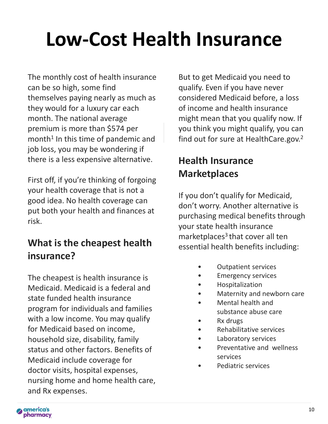## **Low-Cost Health Insurance**

The monthly cost of health insurance can be so high, some find themselves paying nearly as much as they would for a luxury car each month. The national average premium is more than \$574 per month<sup>1</sup> In this time of pandemic and job loss, you may be wondering if there is a less expensive alternative.

First off, if you're thinking of forgoing your health coverage that is not a good idea. No health coverage can put both your health and finances at risk.

## **What is the cheapest health insurance?**

The cheapest is health insurance is Medicaid. Medicaid is a federal and state funded health insurance program for individuals and families with a low income. You may qualify for Medicaid based on income, household size, disability, family status and other factors. Benefits of Medicaid include coverage for doctor visits, hospital expenses, nursing home and home health care, and Rx expenses.

But to get Medicaid you need to qualify. Even if you have never considered Medicaid before, a loss of income and health insurance might mean that you qualify now. If you think you might qualify, you can find out for sure at HealthCare.gov.<sup>2</sup>

## **Health Insurance Marketplaces**

If you don't qualify for Medicaid, don't worry. Another alternative is purchasing medical benefits through your state health insurance marketplaces<sup>3</sup> that cover all ten essential health benefits including:

- Outpatient services
- Emergency services
- **Hospitalization**
- Maternity and newborn care
- Mental health and substance abuse care
- Rx drugs
- Rehabilitative services
- Laboratory services
- Preventative and wellness services
- Pediatric services

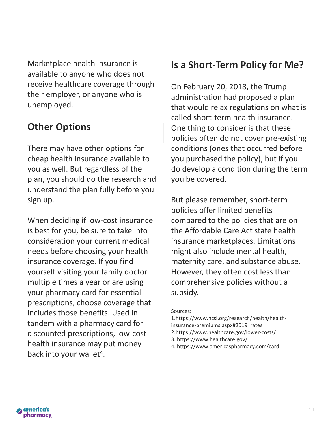Marketplace health insurance is available to anyone who does not receive healthcare coverage through their employer, or anyone who is unemployed.

### **Other Options**

There may have other options for cheap health insurance available to you as well. But regardless of the plan, you should do the research and understand the plan fully before you sign up.

When deciding if low-cost insurance is best for you, be sure to take into consideration your current medical needs before choosing your health insurance coverage. If you find yourself visiting your family doctor multiple times a year or are using your pharmacy card for essential prescriptions, choose coverage that includes those benefits. Used in tandem with a pharmacy card for discounted prescriptions, low-cost health insurance may put money back into your wallet<sup>4</sup>.

### **Is a Short-Term Policy for Me?**

On February 20, 2018, the Trump administration had proposed a plan that would relax regulations on what is called short-term health insurance. One thing to consider is that these policies often do not cover pre-existing conditions (ones that occurred before you purchased the policy), but if you do develop a condition during the term you be covered.

But please remember, short-term policies offer limited benefits compared to the policies that are on the Affordable Care Act state health insurance marketplaces. Limitations might also include mental health, maternity care, and substance abuse. However, they often cost less than comprehensive policies without a subsidy.

Sources:

1.https://www.ncsl.org/research/health/healthinsurance-premiums.aspx#2019\_rates 2.https://www.healthcare.gov/lower-costs/ 3. https://www.healthcare.gov/

4. https://www.americaspharmacy.com/card

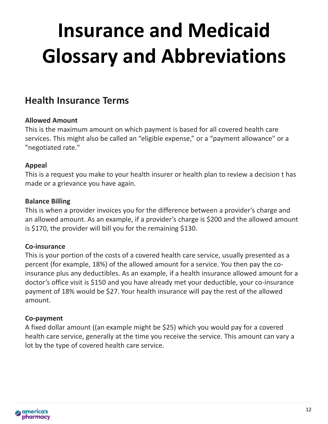## **Insurance and Medicaid Glossary and Abbreviations**

### **Health Insurance Terms**

#### **Allowed Amount**

This is the maximum amount on which payment is based for all covered health care services. This might also be called an "eligible expense," or a "payment allowance" or a "negotiated rate."

#### **Appeal**

This is a request you make to your health insurer or health plan to review a decision t has made or a grievance you have again.

#### **Balance Billing**

This is when a provider invoices you for the difference between a provider's charge and an allowed amount. As an example, if a provider's charge is \$200 and the allowed amount is \$170, the provider will bill you for the remaining \$130.

#### **Co-insurance**

This is your portion of the costs of a covered health care service, usually presented as a percent (for example, 18%) of the allowed amount for a service. You then pay the coinsurance plus any deductibles. As an example, if a health insurance allowed amount for a doctor's office visit is \$150 and you have already met your deductible, your co-insurance payment of 18% would be \$27. Your health insurance will pay the rest of the allowed amount.

#### **Co-payment**

A fixed dollar amount ((an example might be \$25) which you would pay for a covered health care service, generally at the time you receive the service. This amount can vary a lot by the type of covered health care service.

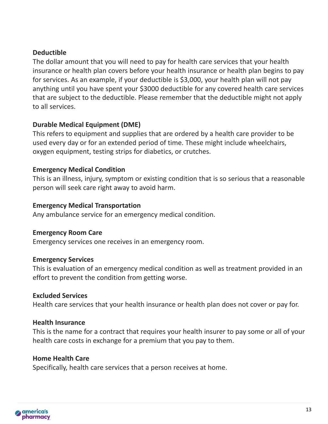#### **Deductible**

The dollar amount that you will need to pay for health care services that your health insurance or health plan covers before your health insurance or health plan begins to pay for services. As an example, if your deductible is \$3,000, your health plan will not pay anything until you have spent your \$3000 deductible for any covered health care services that are subject to the deductible. Please remember that the deductible might not apply to all services.

#### **Durable Medical Equipment (DME)**

This refers to equipment and supplies that are ordered by a health care provider to be used every day or for an extended period of time. These might include wheelchairs, oxygen equipment, testing strips for diabetics, or crutches.

#### **Emergency Medical Condition**

This is an illness, injury, symptom or existing condition that is so serious that a reasonable person will seek care right away to avoid harm.

#### **Emergency Medical Transportation**

Any ambulance service for an emergency medical condition.

#### **Emergency Room Care**

Emergency services one receives in an emergency room.

#### **Emergency Services**

This is evaluation of an emergency medical condition as well as treatment provided in an effort to prevent the condition from getting worse.

#### **Excluded Services**

Health care services that your health insurance or health plan does not cover or pay for.

#### **Health Insurance**

This is the name for a contract that requires your health insurer to pay some or all of your health care costs in exchange for a premium that you pay to them.

#### **Home Health Care**

Specifically, health care services that a person receives at home.

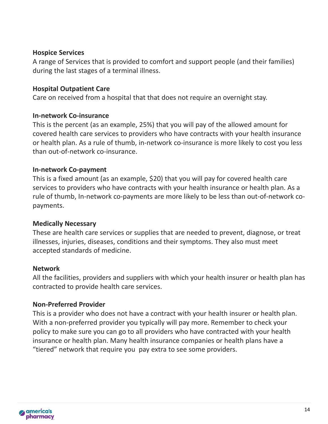#### **Hospice Services**

A range of Services that is provided to comfort and support people (and their families) during the last stages of a terminal illness.

#### **Hospital Outpatient Care**

Care on received from a hospital that that does not require an overnight stay.

#### **In-network Co-insurance**

This is the percent (as an example, 25%) that you will pay of the allowed amount for covered health care services to providers who have contracts with your health insurance or health plan. As a rule of thumb, in-network co-insurance is more likely to cost you less than out-of-network co-insurance.

#### **In-network Co-payment**

This is a fixed amount (as an example, \$20) that you will pay for covered health care services to providers who have contracts with your health insurance or health plan. As a rule of thumb, In-network co-payments are more likely to be less than out-of-network copayments.

#### **Medically Necessary**

These are health care services or supplies that are needed to prevent, diagnose, or treat illnesses, injuries, diseases, conditions and their symptoms. They also must meet accepted standards of medicine.

#### **Network**

All the facilities, providers and suppliers with which your health insurer or health plan has contracted to provide health care services.

#### **Non-Preferred Provider**

This is a provider who does not have a contract with your health insurer or health plan. With a non-preferred provider you typically will pay more. Remember to check your policy to make sure you can go to all providers who have contracted with your health insurance or health plan. Many health insurance companies or health plans have a "tiered" network that require you pay extra to see some providers.

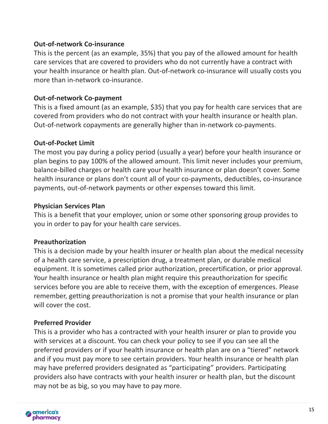#### **Out-of-network Co-insurance**

This is the percent (as an example, 35%) that you pay of the allowed amount for health care services that are covered to providers who do not currently have a contract with your health insurance or health plan. Out-of-network co-insurance will usually costs you more than in-network co-insurance.

#### **Out-of-network Co-payment**

This is a fixed amount (as an example, \$35) that you pay for health care services that are covered from providers who do not contract with your health insurance or health plan. Out-of-network copayments are generally higher than in-network co-payments.

#### **Out-of-Pocket Limit**

The most you pay during a policy period (usually a year) before your health insurance or plan begins to pay 100% of the allowed amount. This limit never includes your premium, balance-billed charges or health care your health insurance or plan doesn't cover. Some health insurance or plans don't count all of your co-payments, deductibles, co-insurance payments, out-of-network payments or other expenses toward this limit.

#### **Physician Services Plan**

This is a benefit that your employer, union or some other sponsoring group provides to you in order to pay for your health care services.

#### **Preauthorization**

This is a decision made by your health insurer or health plan about the medical necessity of a health care service, a prescription drug, a treatment plan, or durable medical equipment. It is sometimes called prior authorization, precertification, or prior approval. Your health insurance or health plan might require this preauthorization for specific services before you are able to receive them, with the exception of emergences. Please remember, getting preauthorization is not a promise that your health insurance or plan will cover the cost.

#### **Preferred Provider**

This is a provider who has a contracted with your health insurer or plan to provide you with services at a discount. You can check your policy to see if you can see all the preferred providers or if your health insurance or health plan are on a "tiered" network and if you must pay more to see certain providers. Your health insurance or health plan may have preferred providers designated as "participating" providers. Participating providers also have contracts with your health insurer or health plan, but the discount may not be as big, so you may have to pay more.

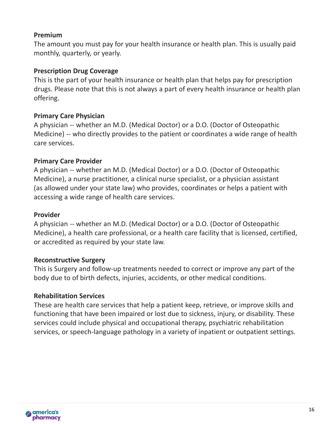#### **Premium**

The amount you must pay for your health insurance or health plan. This is usually paid monthly, quarterly, or yearly.

#### **Prescription Drug Coverage**

This is the part of your health insurance or health plan that helps pay for prescription drugs. Please note that this is not always a part of every health insurance or health plan offering.

#### **Primary Care Physician**

A physician -- whether an M.D. (Medical Doctor) or a D.O. (Doctor of Osteopathic Medicine) -- who directly provides to the patient or coordinates a wide range of health care services.

#### **Primary Care Provider**

A physician -- whether an M.D. (Medical Doctor) or a D.O. (Doctor of Osteopathic Medicine), a nurse practitioner, a clinical nurse specialist, or a physician assistant (as allowed under your state law) who provides, coordinates or helps a patient with accessing a wide range of health care services.

#### **Provider**

A physician -- whether an M.D. (Medical Doctor) or a D.O. (Doctor of Osteopathic Medicine), a health care professional, or a health care facility that is licensed, certified, or accredited as required by your state law.

#### **Reconstructive Surgery**

This is Surgery and follow-up treatments needed to correct or improve any part of the body due to of birth defects, injuries, accidents, or other medical conditions.

#### **Rehabilitation Services**

These are health care services that help a patient keep, retrieve, or improve skills and functioning that have been impaired or lost due to sickness, injury, or disability. These services could include physical and occupational therapy, psychiatric rehabilitation services, or speech-language pathology in a variety of inpatient or outpatient settings.

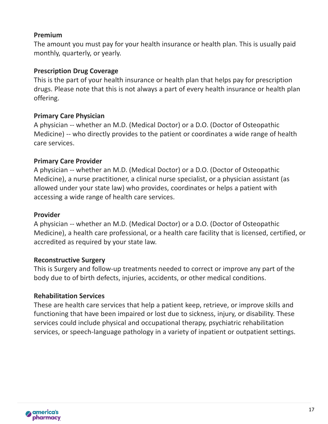#### **Premium**

The amount you must pay for your health insurance or health plan. This is usually paid monthly, quarterly, or yearly.

#### **Prescription Drug Coverage**

This is the part of your health insurance or health plan that helps pay for prescription drugs. Please note that this is not always a part of every health insurance or health plan offering.

#### **Primary Care Physician**

A physician -- whether an M.D. (Medical Doctor) or a D.O. (Doctor of Osteopathic Medicine) -- who directly provides to the patient or coordinates a wide range of health care services.

#### **Primary Care Provider**

A physician -- whether an M.D. (Medical Doctor) or a D.O. (Doctor of Osteopathic Medicine), a nurse practitioner, a clinical nurse specialist, or a physician assistant (as allowed under your state law) who provides, coordinates or helps a patient with accessing a wide range of health care services.

#### **Provider**

A physician -- whether an M.D. (Medical Doctor) or a D.O. (Doctor of Osteopathic Medicine), a health care professional, or a health care facility that is licensed, certified, or accredited as required by your state law.

#### **Reconstructive Surgery**

This is Surgery and follow-up treatments needed to correct or improve any part of the body due to of birth defects, injuries, accidents, or other medical conditions.

#### **Rehabilitation Services**

These are health care services that help a patient keep, retrieve, or improve skills and functioning that have been impaired or lost due to sickness, injury, or disability. These services could include physical and occupational therapy, psychiatric rehabilitation services, or speech-language pathology in a variety of inpatient or outpatient settings.

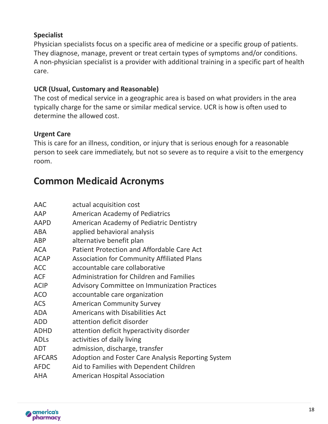#### **Specialist**

Physician specialists focus on a specific area of medicine or a specific group of patients. They diagnose, manage, prevent or treat certain types of symptoms and/or conditions. A non-physician specialist is a provider with additional training in a specific part of health care.

#### **UCR (Usual, Customary and Reasonable)**

The cost of medical service in a geographic area is based on what providers in the area typically charge for the same or similar medical service. UCR is how is often used to determine the allowed cost.

#### **Urgent Care**

This is care for an illness, condition, or injury that is serious enough for a reasonable person to seek care immediately, but not so severe as to require a visit to the emergency room.

### **Common Medicaid Acronyms**

| <b>AAC</b>    | actual acquisition cost                             |
|---------------|-----------------------------------------------------|
| AAP           | <b>American Academy of Pediatrics</b>               |
| <b>AAPD</b>   | American Academy of Pediatric Dentistry             |
| <b>ABA</b>    | applied behavioral analysis                         |
| <b>ABP</b>    | alternative benefit plan                            |
| <b>ACA</b>    | Patient Protection and Affordable Care Act          |
| <b>ACAP</b>   | <b>Association for Community Affiliated Plans</b>   |
| <b>ACC</b>    | accountable care collaborative                      |
| <b>ACF</b>    | <b>Administration for Children and Families</b>     |
| <b>ACIP</b>   | <b>Advisory Committee on Immunization Practices</b> |
| <b>ACO</b>    | accountable care organization                       |
| <b>ACS</b>    | <b>American Community Survey</b>                    |
| <b>ADA</b>    | <b>Americans with Disabilities Act</b>              |
| <b>ADD</b>    | attention deficit disorder                          |
| <b>ADHD</b>   | attention deficit hyperactivity disorder            |
| ADLs          | activities of daily living                          |
| <b>ADT</b>    | admission, discharge, transfer                      |
| <b>AFCARS</b> | Adoption and Foster Care Analysis Reporting System  |
| <b>AFDC</b>   | Aid to Families with Dependent Children             |
| <b>AHA</b>    | <b>American Hospital Association</b>                |

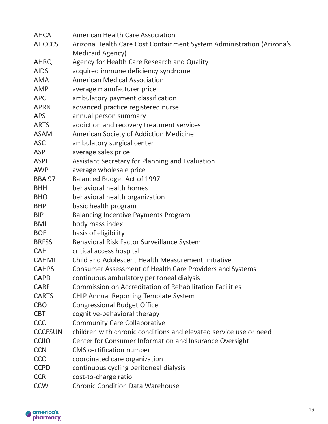| <b>AHCA</b>    | American Health Care Association                                      |
|----------------|-----------------------------------------------------------------------|
| <b>AHCCCS</b>  | Arizona Health Care Cost Containment System Administration (Arizona's |
|                | Medicaid Agency)                                                      |
| <b>AHRQ</b>    | Agency for Health Care Research and Quality                           |
| <b>AIDS</b>    | acquired immune deficiency syndrome                                   |
| <b>AMA</b>     | <b>American Medical Association</b>                                   |
| AMP            | average manufacturer price                                            |
| APC            | ambulatory payment classification                                     |
| <b>APRN</b>    | advanced practice registered nurse                                    |
| <b>APS</b>     | annual person summary                                                 |
| <b>ARTS</b>    | addiction and recovery treatment services                             |
| <b>ASAM</b>    | American Society of Addiction Medicine                                |
| <b>ASC</b>     | ambulatory surgical center                                            |
| <b>ASP</b>     | average sales price                                                   |
| <b>ASPE</b>    | Assistant Secretary for Planning and Evaluation                       |
| <b>AWP</b>     | average wholesale price                                               |
| <b>BBA 97</b>  | Balanced Budget Act of 1997                                           |
| <b>BHH</b>     | behavioral health homes                                               |
| <b>BHO</b>     | behavioral health organization                                        |
| <b>BHP</b>     | basic health program                                                  |
| <b>BIP</b>     | <b>Balancing Incentive Payments Program</b>                           |
| <b>BMI</b>     | body mass index                                                       |
| <b>BOE</b>     | basis of eligibility                                                  |
| <b>BRFSS</b>   | Behavioral Risk Factor Surveillance System                            |
| <b>CAH</b>     | critical access hospital                                              |
| <b>CAHMI</b>   | Child and Adolescent Health Measurement Initiative                    |
| <b>CAHPS</b>   | <b>Consumer Assessment of Health Care Providers and Systems</b>       |
| <b>CAPD</b>    | continuous ambulatory peritoneal dialysis                             |
| <b>CARF</b>    | <b>Commission on Accreditation of Rehabilitation Facilities</b>       |
| <b>CARTS</b>   | <b>CHIP Annual Reporting Template System</b>                          |
| <b>CBO</b>     | <b>Congressional Budget Office</b>                                    |
| <b>CBT</b>     | cognitive-behavioral therapy                                          |
| <b>CCC</b>     | <b>Community Care Collaborative</b>                                   |
| <b>CCCESUN</b> | children with chronic conditions and elevated service use or need     |
| <b>CCIIO</b>   | Center for Consumer Information and Insurance Oversight               |
| <b>CCN</b>     | <b>CMS</b> certification number                                       |
| <b>CCO</b>     | coordinated care organization                                         |
| <b>CCPD</b>    | continuous cycling peritoneal dialysis                                |
| <b>CCR</b>     | cost-to-charge ratio                                                  |
| <b>CCW</b>     | <b>Chronic Condition Data Warehouse</b>                               |

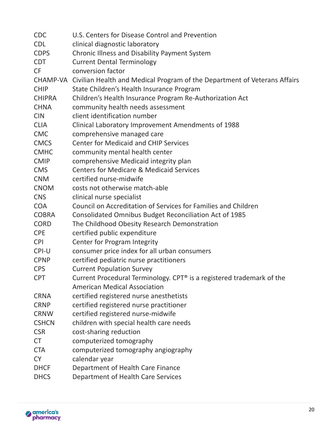| <b>CDC</b>    | U.S. Centers for Disease Control and Prevention                                    |
|---------------|------------------------------------------------------------------------------------|
| <b>CDL</b>    | clinical diagnostic laboratory                                                     |
| <b>CDPS</b>   | Chronic Illness and Disability Payment System                                      |
| <b>CDT</b>    | <b>Current Dental Terminology</b>                                                  |
| <b>CF</b>     | conversion factor                                                                  |
|               | CHAMP-VA Civilian Health and Medical Program of the Department of Veterans Affairs |
| <b>CHIP</b>   | State Children's Health Insurance Program                                          |
| <b>CHIPRA</b> | Children's Health Insurance Program Re-Authorization Act                           |
| <b>CHNA</b>   | community health needs assessment                                                  |
| <b>CIN</b>    | client identification number                                                       |
| <b>CLIA</b>   | Clinical Laboratory Improvement Amendments of 1988                                 |
| <b>CMC</b>    | comprehensive managed care                                                         |
| <b>CMCS</b>   | <b>Center for Medicaid and CHIP Services</b>                                       |
| <b>CMHC</b>   | community mental health center                                                     |
| <b>CMIP</b>   | comprehensive Medicaid integrity plan                                              |
| <b>CMS</b>    | <b>Centers for Medicare &amp; Medicaid Services</b>                                |
| <b>CNM</b>    | certified nurse-midwife                                                            |
| <b>CNOM</b>   | costs not otherwise match-able                                                     |
| <b>CNS</b>    | clinical nurse specialist                                                          |
| <b>COA</b>    | Council on Accreditation of Services for Families and Children                     |
| <b>COBRA</b>  | Consolidated Omnibus Budget Reconciliation Act of 1985                             |
| <b>CORD</b>   | The Childhood Obesity Research Demonstration                                       |
| <b>CPE</b>    | certified public expenditure                                                       |
| <b>CPI</b>    | Center for Program Integrity                                                       |
| CPI-U         | consumer price index for all urban consumers                                       |
| <b>CPNP</b>   | certified pediatric nurse practitioners                                            |
| <b>CPS</b>    | <b>Current Population Survey</b>                                                   |
| <b>CPT</b>    | Current Procedural Terminology. CPT® is a registered trademark of the              |
|               | <b>American Medical Association</b>                                                |
| <b>CRNA</b>   | certified registered nurse anesthetists                                            |
| <b>CRNP</b>   | certified registered nurse practitioner                                            |
| <b>CRNW</b>   | certified registered nurse-midwife                                                 |
| <b>CSHCN</b>  | children with special health care needs                                            |
| <b>CSR</b>    | cost-sharing reduction                                                             |
| <b>CT</b>     | computerized tomography                                                            |
| <b>CTA</b>    | computerized tomography angiography                                                |
| <b>CY</b>     | calendar year                                                                      |
| <b>DHCF</b>   | Department of Health Care Finance                                                  |
| <b>DHCS</b>   | Department of Health Care Services                                                 |

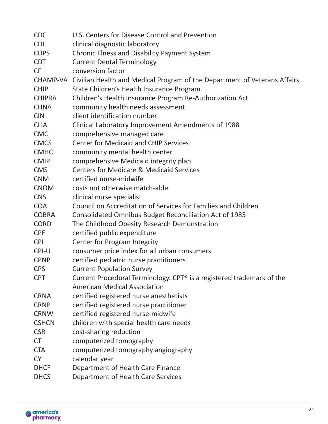| <b>CDC</b>    | U.S. Centers for Disease Control and Prevention                                    |
|---------------|------------------------------------------------------------------------------------|
| <b>CDL</b>    | clinical diagnostic laboratory                                                     |
| <b>CDPS</b>   | Chronic Illness and Disability Payment System                                      |
| <b>CDT</b>    | <b>Current Dental Terminology</b>                                                  |
| <b>CF</b>     | conversion factor                                                                  |
|               | CHAMP-VA Civilian Health and Medical Program of the Department of Veterans Affairs |
| <b>CHIP</b>   | State Children's Health Insurance Program                                          |
| <b>CHIPRA</b> | Children's Health Insurance Program Re-Authorization Act                           |
| <b>CHNA</b>   | community health needs assessment                                                  |
| <b>CIN</b>    | client identification number                                                       |
| <b>CLIA</b>   | Clinical Laboratory Improvement Amendments of 1988                                 |
| <b>CMC</b>    | comprehensive managed care                                                         |
| <b>CMCS</b>   | <b>Center for Medicaid and CHIP Services</b>                                       |
| <b>CMHC</b>   | community mental health center                                                     |
| <b>CMIP</b>   | comprehensive Medicaid integrity plan                                              |
| <b>CMS</b>    | <b>Centers for Medicare &amp; Medicaid Services</b>                                |
| <b>CNM</b>    | certified nurse-midwife                                                            |
| <b>CNOM</b>   | costs not otherwise match-able                                                     |
| <b>CNS</b>    | clinical nurse specialist                                                          |
| <b>COA</b>    | Council on Accreditation of Services for Families and Children                     |
| <b>COBRA</b>  | Consolidated Omnibus Budget Reconciliation Act of 1985                             |
| <b>CORD</b>   | The Childhood Obesity Research Demonstration                                       |
| <b>CPE</b>    | certified public expenditure                                                       |
| <b>CPI</b>    | Center for Program Integrity                                                       |
| <b>CPI-U</b>  | consumer price index for all urban consumers                                       |
| <b>CPNP</b>   | certified pediatric nurse practitioners                                            |
| <b>CPS</b>    | <b>Current Population Survey</b>                                                   |
| <b>CPT</b>    | Current Procedural Terminology. CPT® is a registered trademark of the              |
|               | <b>American Medical Association</b>                                                |
| <b>CRNA</b>   | certified registered nurse anesthetists                                            |
| <b>CRNP</b>   | certified registered nurse practitioner                                            |
| <b>CRNW</b>   | certified registered nurse-midwife                                                 |
| <b>CSHCN</b>  | children with special health care needs                                            |
| <b>CSR</b>    | cost-sharing reduction                                                             |
| <b>CT</b>     | computerized tomography                                                            |
| <b>CTA</b>    | computerized tomography angiography                                                |
| <b>CY</b>     | calendar year                                                                      |
| <b>DHCF</b>   | Department of Health Care Finance                                                  |
| <b>DHCS</b>   | Department of Health Care Services                                                 |

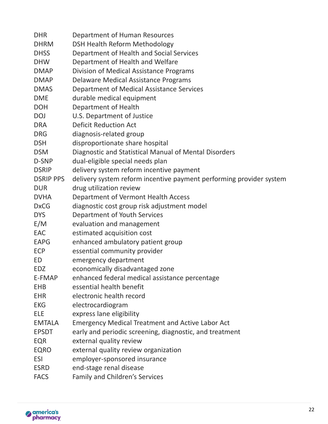| <b>DHR</b>       | Department of Human Resources                                       |
|------------------|---------------------------------------------------------------------|
| <b>DHRM</b>      | <b>DSH Health Reform Methodology</b>                                |
| <b>DHSS</b>      | Department of Health and Social Services                            |
| <b>DHW</b>       | Department of Health and Welfare                                    |
| <b>DMAP</b>      | Division of Medical Assistance Programs                             |
| <b>DMAP</b>      | Delaware Medical Assistance Programs                                |
| <b>DMAS</b>      | Department of Medical Assistance Services                           |
| <b>DME</b>       | durable medical equipment                                           |
| <b>DOH</b>       | Department of Health                                                |
| <b>DOJ</b>       | U.S. Department of Justice                                          |
| <b>DRA</b>       | <b>Deficit Reduction Act</b>                                        |
| <b>DRG</b>       | diagnosis-related group                                             |
| <b>DSH</b>       | disproportionate share hospital                                     |
| <b>DSM</b>       | Diagnostic and Statistical Manual of Mental Disorders               |
| D-SNP            | dual-eligible special needs plan                                    |
| <b>DSRIP</b>     | delivery system reform incentive payment                            |
| <b>DSRIP PPS</b> | delivery system reform incentive payment performing provider system |
| <b>DUR</b>       | drug utilization review                                             |
| <b>DVHA</b>      | Department of Vermont Health Access                                 |
| <b>DxCG</b>      | diagnostic cost group risk adjustment model                         |
| <b>DYS</b>       | Department of Youth Services                                        |
| E/M              | evaluation and management                                           |
| <b>EAC</b>       | estimated acquisition cost                                          |
| <b>EAPG</b>      | enhanced ambulatory patient group                                   |
| <b>ECP</b>       | essential community provider                                        |
| <b>ED</b>        | emergency department                                                |
| <b>EDZ</b>       | economically disadvantaged zone                                     |
| E-FMAP           | enhanced federal medical assistance percentage                      |
| <b>EHB</b>       | essential health benefit                                            |
| <b>EHR</b>       | electronic health record                                            |
| <b>EKG</b>       | electrocardiogram                                                   |
| <b>ELE</b>       | express lane eligibility                                            |
| <b>EMTALA</b>    | <b>Emergency Medical Treatment and Active Labor Act</b>             |
| <b>EPSDT</b>     | early and periodic screening, diagnostic, and treatment             |
| <b>EQR</b>       | external quality review                                             |
| <b>EQRO</b>      | external quality review organization                                |
| <b>ESI</b>       | employer-sponsored insurance                                        |
| <b>ESRD</b>      | end-stage renal disease                                             |
| <b>FACS</b>      | Family and Children's Services                                      |

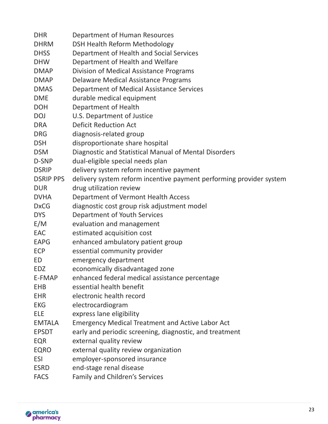| <b>DHR</b>       | Department of Human Resources                                       |
|------------------|---------------------------------------------------------------------|
| <b>DHRM</b>      | <b>DSH Health Reform Methodology</b>                                |
| <b>DHSS</b>      | Department of Health and Social Services                            |
| <b>DHW</b>       | Department of Health and Welfare                                    |
| <b>DMAP</b>      | Division of Medical Assistance Programs                             |
| <b>DMAP</b>      | Delaware Medical Assistance Programs                                |
| <b>DMAS</b>      | Department of Medical Assistance Services                           |
| <b>DME</b>       | durable medical equipment                                           |
| <b>DOH</b>       | Department of Health                                                |
| <b>DOJ</b>       | U.S. Department of Justice                                          |
| <b>DRA</b>       | <b>Deficit Reduction Act</b>                                        |
| <b>DRG</b>       | diagnosis-related group                                             |
| <b>DSH</b>       | disproportionate share hospital                                     |
| <b>DSM</b>       | Diagnostic and Statistical Manual of Mental Disorders               |
| D-SNP            | dual-eligible special needs plan                                    |
| <b>DSRIP</b>     | delivery system reform incentive payment                            |
| <b>DSRIP PPS</b> | delivery system reform incentive payment performing provider system |
| <b>DUR</b>       | drug utilization review                                             |
| <b>DVHA</b>      | Department of Vermont Health Access                                 |
| <b>DxCG</b>      | diagnostic cost group risk adjustment model                         |
| <b>DYS</b>       | Department of Youth Services                                        |
| E/M              | evaluation and management                                           |
| <b>EAC</b>       | estimated acquisition cost                                          |
| <b>EAPG</b>      | enhanced ambulatory patient group                                   |
| <b>ECP</b>       | essential community provider                                        |
| <b>ED</b>        | emergency department                                                |
| <b>EDZ</b>       | economically disadvantaged zone                                     |
| E-FMAP           | enhanced federal medical assistance percentage                      |
| <b>EHB</b>       | essential health benefit                                            |
| <b>EHR</b>       | electronic health record                                            |
| <b>EKG</b>       | electrocardiogram                                                   |
| <b>ELE</b>       | express lane eligibility                                            |
| <b>EMTALA</b>    | <b>Emergency Medical Treatment and Active Labor Act</b>             |
| <b>EPSDT</b>     | early and periodic screening, diagnostic, and treatment             |
| <b>EQR</b>       | external quality review                                             |
| <b>EQRO</b>      | external quality review organization                                |
| <b>ESI</b>       | employer-sponsored insurance                                        |
| <b>ESRD</b>      | end-stage renal disease                                             |
| <b>FACS</b>      | <b>Family and Children's Services</b>                               |

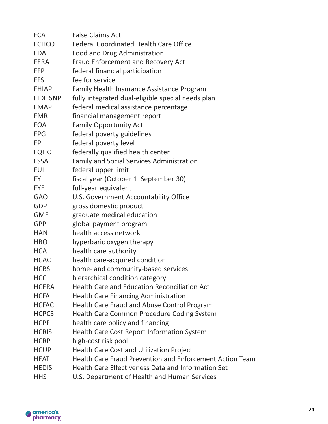| <b>FCA</b>      | <b>False Claims Act</b>                                         |
|-----------------|-----------------------------------------------------------------|
| <b>FCHCO</b>    | <b>Federal Coordinated Health Care Office</b>                   |
| <b>FDA</b>      | Food and Drug Administration                                    |
| <b>FERA</b>     | <b>Fraud Enforcement and Recovery Act</b>                       |
| <b>FFP</b>      | federal financial participation                                 |
| <b>FFS</b>      | fee for service                                                 |
| <b>FHIAP</b>    | Family Health Insurance Assistance Program                      |
| <b>FIDE SNP</b> | fully integrated dual-eligible special needs plan               |
| <b>FMAP</b>     | federal medical assistance percentage                           |
| <b>FMR</b>      | financial management report                                     |
| <b>FOA</b>      | <b>Family Opportunity Act</b>                                   |
| <b>FPG</b>      | federal poverty guidelines                                      |
| FPL             | federal poverty level                                           |
| <b>FQHC</b>     | federally qualified health center                               |
| <b>FSSA</b>     | <b>Family and Social Services Administration</b>                |
| <b>FUL</b>      | federal upper limit                                             |
| FY .            | fiscal year (October 1–September 30)                            |
| <b>FYE</b>      | full-year equivalent                                            |
| <b>GAO</b>      | U.S. Government Accountability Office                           |
| <b>GDP</b>      | gross domestic product                                          |
| <b>GME</b>      | graduate medical education                                      |
| <b>GPP</b>      | global payment program                                          |
| <b>HAN</b>      | health access network                                           |
| <b>HBO</b>      | hyperbaric oxygen therapy                                       |
| <b>HCA</b>      | health care authority                                           |
| <b>HCAC</b>     | health care-acquired condition                                  |
| <b>HCBS</b>     | home- and community-based services                              |
| <b>HCC</b>      | hierarchical condition category                                 |
| <b>HCERA</b>    | <b>Health Care and Education Reconciliation Act</b>             |
| <b>HCFA</b>     | <b>Health Care Financing Administration</b>                     |
| <b>HCFAC</b>    | <b>Health Care Fraud and Abuse Control Program</b>              |
| <b>HCPCS</b>    | Health Care Common Procedure Coding System                      |
| <b>HCPF</b>     | health care policy and financing                                |
| <b>HCRIS</b>    | <b>Health Care Cost Report Information System</b>               |
| <b>HCRP</b>     | high-cost risk pool                                             |
| <b>HCUP</b>     | <b>Health Care Cost and Utilization Project</b>                 |
| <b>HEAT</b>     | <b>Health Care Fraud Prevention and Enforcement Action Team</b> |
| <b>HEDIS</b>    | Health Care Effectiveness Data and Information Set              |
| <b>HHS</b>      | U.S. Department of Health and Human Services                    |

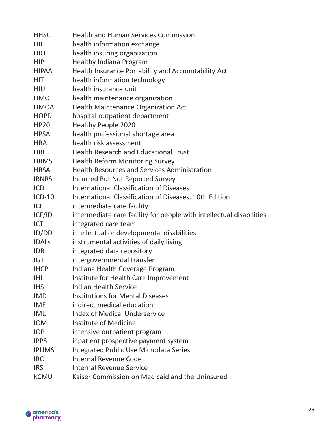| <b>HHSC</b>  | <b>Health and Human Services Commission</b>                          |
|--------------|----------------------------------------------------------------------|
| <b>HIE</b>   | health information exchange                                          |
| <b>HIO</b>   | health insuring organization                                         |
| <b>HIP</b>   | <b>Healthy Indiana Program</b>                                       |
| <b>HIPAA</b> | Health Insurance Portability and Accountability Act                  |
| <b>HIT</b>   | health information technology                                        |
| <b>HIU</b>   | health insurance unit                                                |
| <b>HMO</b>   | health maintenance organization                                      |
| <b>HMOA</b>  | <b>Health Maintenance Organization Act</b>                           |
| <b>HOPD</b>  | hospital outpatient department                                       |
| <b>HP20</b>  | Healthy People 2020                                                  |
| <b>HPSA</b>  | health professional shortage area                                    |
| <b>HRA</b>   | health risk assessment                                               |
| <b>HRET</b>  | <b>Health Research and Educational Trust</b>                         |
| <b>HRMS</b>  | <b>Health Reform Monitoring Survey</b>                               |
| <b>HRSA</b>  | <b>Health Resources and Services Administration</b>                  |
| <b>IBNRS</b> | Incurred But Not Reported Survey                                     |
| <b>ICD</b>   | <b>International Classification of Diseases</b>                      |
| $ICD-10$     | International Classification of Diseases, 10th Edition               |
| <b>ICF</b>   | intermediate care facility                                           |
| ICF/ID       | intermediate care facility for people with intellectual disabilities |
| <b>ICT</b>   | integrated care team                                                 |
| ID/DD        | intellectual or developmental disabilities                           |
| <b>IDALS</b> | instrumental activities of daily living                              |
| <b>IDR</b>   | integrated data repository                                           |
| <b>IGT</b>   | intergovernmental transfer                                           |
| <b>IHCP</b>  | Indiana Health Coverage Program                                      |
| IHI          | Institute for Health Care Improvement                                |
| <b>IHS</b>   | <b>Indian Health Service</b>                                         |
| <b>IMD</b>   | <b>Institutions for Mental Diseases</b>                              |
| <b>IME</b>   | indirect medical education                                           |
| <b>IMU</b>   | <b>Index of Medical Underservice</b>                                 |
| <b>IOM</b>   | Institute of Medicine                                                |
| <b>IOP</b>   | intensive outpatient program                                         |
| <b>IPPS</b>  | inpatient prospective payment system                                 |
| <b>IPUMS</b> | <b>Integrated Public Use Microdata Series</b>                        |
| <b>IRC</b>   | <b>Internal Revenue Code</b>                                         |
| <b>IRS</b>   | <b>Internal Revenue Service</b>                                      |
| <b>KCMU</b>  | Kaiser Commission on Medicaid and the Uninsured                      |

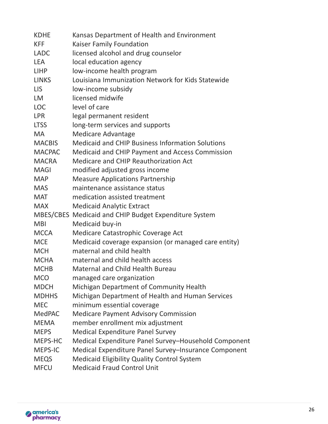| <b>KDHE</b>    | Kansas Department of Health and Environment             |
|----------------|---------------------------------------------------------|
| <b>KFF</b>     | Kaiser Family Foundation                                |
| <b>LADC</b>    | licensed alcohol and drug counselor                     |
| <b>LEA</b>     | local education agency                                  |
| <b>LIHP</b>    | low-income health program                               |
| <b>LINKS</b>   | Louisiana Immunization Network for Kids Statewide       |
| <b>LIS</b>     | low-income subsidy                                      |
| <b>LM</b>      | licensed midwife                                        |
| <b>LOC</b>     | level of care                                           |
| <b>LPR</b>     | legal permanent resident                                |
| <b>LTSS</b>    | long-term services and supports                         |
| <b>MA</b>      | <b>Medicare Advantage</b>                               |
| <b>MACBIS</b>  | <b>Medicaid and CHIP Business Information Solutions</b> |
| <b>MACPAC</b>  | Medicaid and CHIP Payment and Access Commission         |
| <b>MACRA</b>   | Medicare and CHIP Reauthorization Act                   |
| <b>MAGI</b>    | modified adjusted gross income                          |
| <b>MAP</b>     | <b>Measure Applications Partnership</b>                 |
| <b>MAS</b>     | maintenance assistance status                           |
| <b>MAT</b>     | medication assisted treatment                           |
| <b>MAX</b>     | <b>Medicaid Analytic Extract</b>                        |
|                | MBES/CBES Medicaid and CHIP Budget Expenditure System   |
| <b>MBI</b>     | Medicaid buy-in                                         |
| <b>MCCA</b>    | Medicare Catastrophic Coverage Act                      |
| <b>MCE</b>     | Medicaid coverage expansion (or managed care entity)    |
| <b>MCH</b>     | maternal and child health                               |
| <b>MCHA</b>    | maternal and child health access                        |
| <b>MCHB</b>    | <b>Maternal and Child Health Bureau</b>                 |
| <b>MCO</b>     | managed care organization                               |
| <b>MDCH</b>    | Michigan Department of Community Health                 |
| <b>MDHHS</b>   | Michigan Department of Health and Human Services        |
| <b>MEC</b>     | minimum essential coverage                              |
| <b>MedPAC</b>  | <b>Medicare Payment Advisory Commission</b>             |
| <b>MEMA</b>    | member enrollment mix adjustment                        |
| <b>MEPS</b>    | <b>Medical Expenditure Panel Survey</b>                 |
| MEPS-HC        | Medical Expenditure Panel Survey-Household Component    |
| <b>MEPS-IC</b> | Medical Expenditure Panel Survey-Insurance Component    |
| <b>MEQS</b>    | <b>Medicaid Eligibility Quality Control System</b>      |
| <b>MFCU</b>    | <b>Medicaid Fraud Control Unit</b>                      |

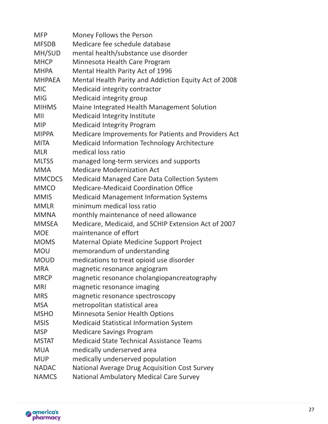| <b>MFP</b>    | Money Follows the Person                              |
|---------------|-------------------------------------------------------|
| <b>MFSDB</b>  | Medicare fee schedule database                        |
| MH/SUD        | mental health/substance use disorder                  |
| <b>MHCP</b>   | Minnesota Health Care Program                         |
| <b>MHPA</b>   | Mental Health Parity Act of 1996                      |
| <b>MHPAEA</b> | Mental Health Parity and Addiction Equity Act of 2008 |
| <b>MIC</b>    | Medicaid integrity contractor                         |
| <b>MIG</b>    | Medicaid integrity group                              |
| <b>MIHMS</b>  | Maine Integrated Health Management Solution           |
| MII           | Medicaid Integrity Institute                          |
| <b>MIP</b>    | <b>Medicaid Integrity Program</b>                     |
| <b>MIPPA</b>  | Medicare Improvements for Patients and Providers Act  |
| <b>MITA</b>   | Medicaid Information Technology Architecture          |
| <b>MLR</b>    | medical loss ratio                                    |
| <b>MLTSS</b>  | managed long-term services and supports               |
| <b>MMA</b>    | <b>Medicare Modernization Act</b>                     |
| <b>MMCDCS</b> | <b>Medicaid Managed Care Data Collection System</b>   |
| <b>MMCO</b>   | <b>Medicare-Medicaid Coordination Office</b>          |
| <b>MMIS</b>   | <b>Medicaid Management Information Systems</b>        |
| <b>MMLR</b>   | minimum medical loss ratio                            |
| <b>MMNA</b>   | monthly maintenance of need allowance                 |
| <b>MMSEA</b>  | Medicare, Medicaid, and SCHIP Extension Act of 2007   |
| <b>MOE</b>    | maintenance of effort                                 |
| <b>MOMS</b>   | Maternal Opiate Medicine Support Project              |
| <b>MOU</b>    | memorandum of understanding                           |
| <b>MOUD</b>   | medications to treat opioid use disorder              |
| <b>MRA</b>    | magnetic resonance angiogram                          |
| <b>MRCP</b>   | magnetic resonance cholangiopancreatography           |
| <b>MRI</b>    | magnetic resonance imaging                            |
| <b>MRS</b>    | magnetic resonance spectroscopy                       |
| <b>MSA</b>    | metropolitan statistical area                         |
| <b>MSHO</b>   | <b>Minnesota Senior Health Options</b>                |
| <b>MSIS</b>   | <b>Medicaid Statistical Information System</b>        |
| <b>MSP</b>    | <b>Medicare Savings Program</b>                       |
| <b>MSTAT</b>  | <b>Medicaid State Technical Assistance Teams</b>      |
| <b>MUA</b>    | medically underserved area                            |
| <b>MUP</b>    | medically underserved population                      |
| <b>NADAC</b>  | National Average Drug Acquisition Cost Survey         |
| <b>NAMCS</b>  | <b>National Ambulatory Medical Care Survey</b>        |

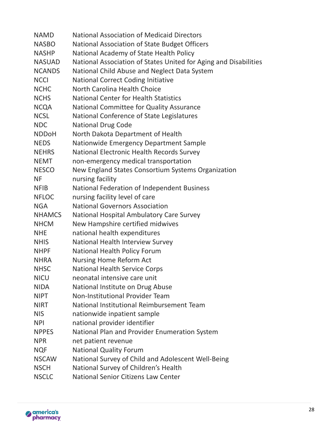| <b>NAMD</b>   | <b>National Association of Medicaid Directors</b>                |
|---------------|------------------------------------------------------------------|
| <b>NASBO</b>  | National Association of State Budget Officers                    |
| <b>NASHP</b>  | National Academy of State Health Policy                          |
| <b>NASUAD</b> | National Association of States United for Aging and Disabilities |
| <b>NCANDS</b> | National Child Abuse and Neglect Data System                     |
| <b>NCCI</b>   | <b>National Correct Coding Initiative</b>                        |
| <b>NCHC</b>   | North Carolina Health Choice                                     |
| <b>NCHS</b>   | <b>National Center for Health Statistics</b>                     |
| <b>NCQA</b>   | National Committee for Quality Assurance                         |
| <b>NCSL</b>   | National Conference of State Legislatures                        |
| <b>NDC</b>    | <b>National Drug Code</b>                                        |
| <b>NDDoH</b>  | North Dakota Department of Health                                |
| <b>NEDS</b>   | Nationwide Emergency Department Sample                           |
| <b>NEHRS</b>  | National Electronic Health Records Survey                        |
| <b>NEMT</b>   | non-emergency medical transportation                             |
| <b>NESCO</b>  | New England States Consortium Systems Organization               |
| <b>NF</b>     | nursing facility                                                 |
| <b>NFIB</b>   | National Federation of Independent Business                      |
| <b>NFLOC</b>  | nursing facility level of care                                   |
| <b>NGA</b>    | <b>National Governors Association</b>                            |
| <b>NHAMCS</b> | National Hospital Ambulatory Care Survey                         |
| <b>NHCM</b>   | New Hampshire certified midwives                                 |
| <b>NHE</b>    | national health expenditures                                     |
| <b>NHIS</b>   | National Health Interview Survey                                 |
| <b>NHPF</b>   | National Health Policy Forum                                     |
| <b>NHRA</b>   | <b>Nursing Home Reform Act</b>                                   |
| <b>NHSC</b>   | <b>National Health Service Corps</b>                             |
| <b>NICU</b>   | neonatal intensive care unit                                     |
| <b>NIDA</b>   | National Institute on Drug Abuse                                 |
| <b>NIPT</b>   | Non-Institutional Provider Team                                  |
| <b>NIRT</b>   | National Institutional Reimbursement Team                        |
| <b>NIS</b>    | nationwide inpatient sample                                      |
| <b>NPI</b>    | national provider identifier                                     |
| <b>NPPES</b>  | National Plan and Provider Enumeration System                    |
| <b>NPR</b>    | net patient revenue                                              |
| <b>NQF</b>    | <b>National Quality Forum</b>                                    |
| <b>NSCAW</b>  | National Survey of Child and Adolescent Well-Being               |
| <b>NSCH</b>   | National Survey of Children's Health                             |
| <b>NSCLC</b>  | <b>National Senior Citizens Law Center</b>                       |

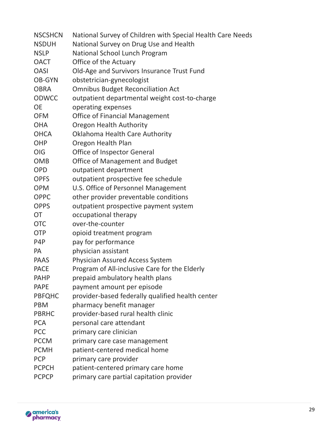| <b>NSCSHCN</b>   | National Survey of Children with Special Health Care Needs |
|------------------|------------------------------------------------------------|
| <b>NSDUH</b>     | National Survey on Drug Use and Health                     |
| <b>NSLP</b>      | National School Lunch Program                              |
| <b>OACT</b>      | Office of the Actuary                                      |
| <b>OASI</b>      | Old-Age and Survivors Insurance Trust Fund                 |
| <b>OB-GYN</b>    | obstetrician-gynecologist                                  |
| <b>OBRA</b>      | <b>Omnibus Budget Reconciliation Act</b>                   |
| <b>ODWCC</b>     | outpatient departmental weight cost-to-charge              |
| <b>OE</b>        | operating expenses                                         |
| <b>OFM</b>       | <b>Office of Financial Management</b>                      |
| <b>OHA</b>       | <b>Oregon Health Authority</b>                             |
| <b>OHCA</b>      | Oklahoma Health Care Authority                             |
| OHP              | Oregon Health Plan                                         |
| OIG              | <b>Office of Inspector General</b>                         |
| <b>OMB</b>       | <b>Office of Management and Budget</b>                     |
| <b>OPD</b>       | outpatient department                                      |
| <b>OPFS</b>      | outpatient prospective fee schedule                        |
| <b>OPM</b>       | U.S. Office of Personnel Management                        |
| <b>OPPC</b>      | other provider preventable conditions                      |
| <b>OPPS</b>      | outpatient prospective payment system                      |
| <b>OT</b>        | occupational therapy                                       |
| <b>OTC</b>       | over-the-counter                                           |
| <b>OTP</b>       | opioid treatment program                                   |
| P <sub>4</sub> P | pay for performance                                        |
| <b>PA</b>        | physician assistant                                        |
| <b>PAAS</b>      | Physician Assured Access System                            |
| <b>PACE</b>      | Program of All-inclusive Care for the Elderly              |
| <b>PAHP</b>      | prepaid ambulatory health plans                            |
| <b>PAPE</b>      | payment amount per episode                                 |
| <b>PBFQHC</b>    | provider-based federally qualified health center           |
| <b>PBM</b>       | pharmacy benefit manager                                   |
| <b>PBRHC</b>     | provider-based rural health clinic                         |
| <b>PCA</b>       | personal care attendant                                    |
| <b>PCC</b>       | primary care clinician                                     |
| <b>PCCM</b>      | primary care case management                               |
| <b>PCMH</b>      | patient-centered medical home                              |
| <b>PCP</b>       | primary care provider                                      |
| <b>PCPCH</b>     | patient-centered primary care home                         |
| <b>PCPCP</b>     | primary care partial capitation provider                   |

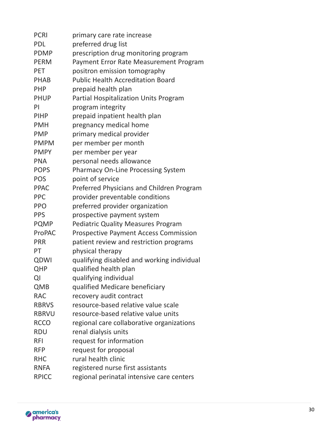| <b>PCRI</b>  | primary care rate increase                   |
|--------------|----------------------------------------------|
| <b>PDL</b>   | preferred drug list                          |
| <b>PDMP</b>  | prescription drug monitoring program         |
| <b>PERM</b>  | Payment Error Rate Measurement Program       |
| <b>PET</b>   | positron emission tomography                 |
| <b>PHAB</b>  | <b>Public Health Accreditation Board</b>     |
| <b>PHP</b>   | prepaid health plan                          |
| <b>PHUP</b>  | Partial Hospitalization Units Program        |
| PI           | program integrity                            |
| <b>PIHP</b>  | prepaid inpatient health plan                |
| <b>PMH</b>   | pregnancy medical home                       |
| <b>PMP</b>   | primary medical provider                     |
| <b>PMPM</b>  | per member per month                         |
| <b>PMPY</b>  | per member per year                          |
| <b>PNA</b>   | personal needs allowance                     |
| <b>POPS</b>  | <b>Pharmacy On-Line Processing System</b>    |
| <b>POS</b>   | point of service                             |
| <b>PPAC</b>  | Preferred Physicians and Children Program    |
| <b>PPC</b>   | provider preventable conditions              |
| <b>PPO</b>   | preferred provider organization              |
| <b>PPS</b>   | prospective payment system                   |
| <b>PQMP</b>  | <b>Pediatric Quality Measures Program</b>    |
| ProPAC       | <b>Prospective Payment Access Commission</b> |
| <b>PRR</b>   | patient review and restriction programs      |
| PT           | physical therapy                             |
| QDWI         | qualifying disabled and working individual   |
| <b>QHP</b>   | qualified health plan                        |
| QI           | qualifying individual                        |
| <b>QMB</b>   | qualified Medicare beneficiary               |
| <b>RAC</b>   | recovery audit contract                      |
| <b>RBRVS</b> | resource-based relative value scale          |
| <b>RBRVU</b> | resource-based relative value units          |
| <b>RCCO</b>  | regional care collaborative organizations    |
| <b>RDU</b>   | renal dialysis units                         |
| <b>RFI</b>   | request for information                      |
| <b>RFP</b>   | request for proposal                         |
| <b>RHC</b>   | rural health clinic                          |
| <b>RNFA</b>  | registered nurse first assistants            |
| <b>RPICC</b> | regional perinatal intensive care centers    |
|              |                                              |

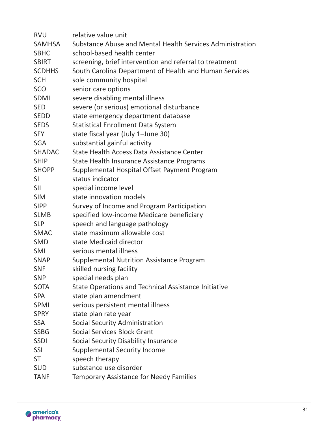| <b>RVU</b>    | relative value unit                                       |
|---------------|-----------------------------------------------------------|
| <b>SAMHSA</b> | Substance Abuse and Mental Health Services Administration |
| <b>SBHC</b>   | school-based health center                                |
| <b>SBIRT</b>  | screening, brief intervention and referral to treatment   |
| <b>SCDHHS</b> | South Carolina Department of Health and Human Services    |
| <b>SCH</b>    | sole community hospital                                   |
| <b>SCO</b>    | senior care options                                       |
| <b>SDMI</b>   | severe disabling mental illness                           |
| <b>SED</b>    | severe (or serious) emotional disturbance                 |
| <b>SEDD</b>   | state emergency department database                       |
| <b>SEDS</b>   | <b>Statistical Enrollment Data System</b>                 |
| <b>SFY</b>    | state fiscal year (July 1-June 30)                        |
| <b>SGA</b>    | substantial gainful activity                              |
| <b>SHADAC</b> | State Health Access Data Assistance Center                |
| <b>SHIP</b>   | State Health Insurance Assistance Programs                |
| <b>SHOPP</b>  | Supplemental Hospital Offset Payment Program              |
| SI            | status indicator                                          |
| <b>SIL</b>    | special income level                                      |
| <b>SIM</b>    | state innovation models                                   |
| <b>SIPP</b>   | Survey of Income and Program Participation                |
| <b>SLMB</b>   | specified low-income Medicare beneficiary                 |
| <b>SLP</b>    | speech and language pathology                             |
| <b>SMAC</b>   | state maximum allowable cost                              |
| SMD           | state Medicaid director                                   |
| <b>SMI</b>    | serious mental illness                                    |
| <b>SNAP</b>   | <b>Supplemental Nutrition Assistance Program</b>          |
| <b>SNF</b>    | skilled nursing facility                                  |
| <b>SNP</b>    | special needs plan                                        |
| <b>SOTA</b>   | State Operations and Technical Assistance Initiative      |
| <b>SPA</b>    | state plan amendment                                      |
| <b>SPMI</b>   | serious persistent mental illness                         |
| <b>SPRY</b>   | state plan rate year                                      |
| <b>SSA</b>    | <b>Social Security Administration</b>                     |
| <b>SSBG</b>   | <b>Social Services Block Grant</b>                        |
| <b>SSDI</b>   | Social Security Disability Insurance                      |
| <b>SSI</b>    | <b>Supplemental Security Income</b>                       |
| <b>ST</b>     | speech therapy                                            |
| <b>SUD</b>    | substance use disorder                                    |
| <b>TANF</b>   | <b>Temporary Assistance for Needy Families</b>            |